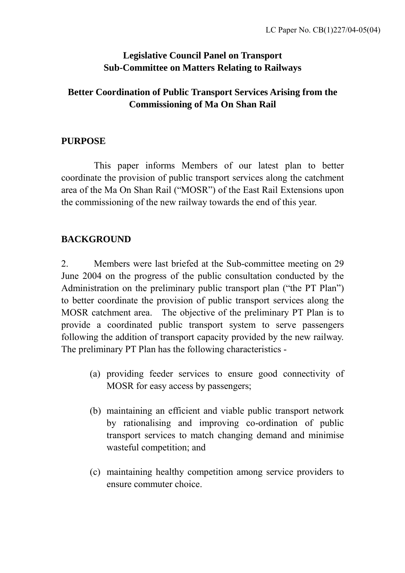### **Legislative Council Panel on Transport Sub-Committee on Matters Relating to Railways**

# **Better Coordination of Public Transport Services Arising from the Commissioning of Ma On Shan Rail**

### **PURPOSE**

This paper informs Members of our latest plan to better coordinate the provision of public transport services along the catchment area of the Ma On Shan Rail ("MOSR") of the East Rail Extensions upon the commissioning of the new railway towards the end of this year.

# **BACKGROUND**

2. Members were last briefed at the Sub-committee meeting on 29 June 2004 on the progress of the public consultation conducted by the Administration on the preliminary public transport plan ("the PT Plan") to better coordinate the provision of public transport services along the MOSR catchment area. The objective of the preliminary PT Plan is to provide a coordinated public transport system to serve passengers following the addition of transport capacity provided by the new railway. The preliminary PT Plan has the following characteristics -

- (a) providing feeder services to ensure good connectivity of MOSR for easy access by passengers;
- (b) maintaining an efficient and viable public transport network by rationalising and improving co-ordination of public transport services to match changing demand and minimise wasteful competition; and
- (c) maintaining healthy competition among service providers to ensure commuter choice.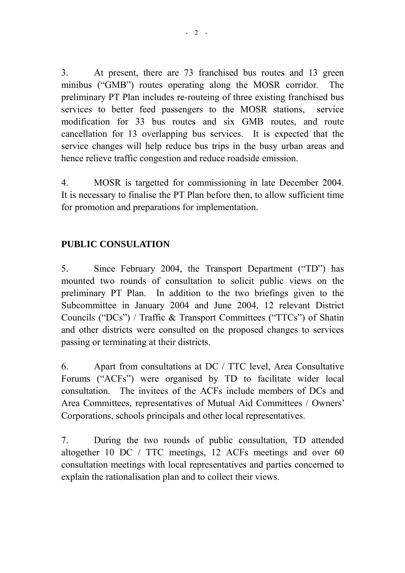3. At present, there are 73 franchised bus routes and 13 green minibus ("GMB") routes operating along the MOSR corridor. The preliminary PT Plan includes re-routeing of three existing franchised bus services to better feed passengers to the MOSR stations, service modification for 33 bus routes and six GMB routes, and route cancellation for 13 overlapping bus services. It is expected that the service changes will help reduce bus trips in the busy urban areas and hence relieve traffic congestion and reduce roadside emission.

4. MOSR is targetted for commissioning in late December 2004. It is necessary to finalise the PT Plan before then, to allow sufficient time for promotion and preparations for implementation.

# **PUBLIC CONSULATION**

5. Since February 2004, the Transport Department ("TD") has mounted two rounds of consultation to solicit public views on the preliminary PT Plan. In addition to the two briefings given to the Subcommittee in January 2004 and June 2004, 12 relevant District Councils ("DCs") / Traffic & Transport Committees ("TTCs") of Shatin and other districts were consulted on the proposed changes to services passing or terminating at their districts.

6. Apart from consultations at DC / TTC level, Area Consultative Forums ("ACFs") were organised by TD to facilitate wider local consultation. The invitees of the ACFs include members of DCs and Area Committees, representatives of Mutual Aid Committees / Owners' Corporations, schools principals and other local representatives.

7. During the two rounds of public consultation, TD attended altogether 10 DC / TTC meetings, 12 ACFs meetings and over 60 consultation meetings with local representatives and parties concerned to explain the rationalisation plan and to collect their views.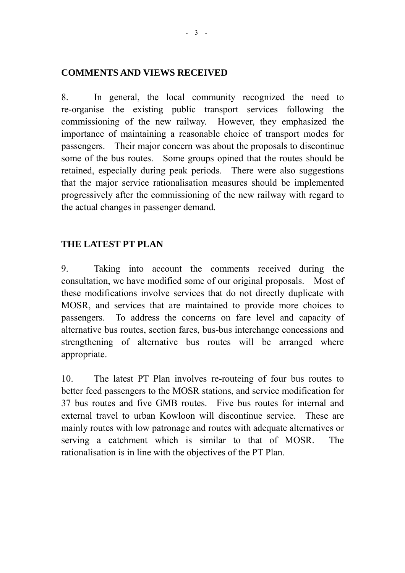#### **COMMENTS AND VIEWS RECEIVED**

8. In general, the local community recognized the need to re-organise the existing public transport services following the commissioning of the new railway. However, they emphasized the importance of maintaining a reasonable choice of transport modes for passengers. Their major concern was about the proposals to discontinue some of the bus routes. Some groups opined that the routes should be retained, especially during peak periods. There were also suggestions that the major service rationalisation measures should be implemented progressively after the commissioning of the new railway with regard to the actual changes in passenger demand.

#### **THE LATEST PT PLAN**

9. Taking into account the comments received during the consultation, we have modified some of our original proposals. Most of these modifications involve services that do not directly duplicate with MOSR, and services that are maintained to provide more choices to passengers. To address the concerns on fare level and capacity of alternative bus routes, section fares, bus-bus interchange concessions and strengthening of alternative bus routes will be arranged where appropriate.

10. The latest PT Plan involves re-routeing of four bus routes to better feed passengers to the MOSR stations, and service modification for 37 bus routes and five GMB routes. Five bus routes for internal and external travel to urban Kowloon will discontinue service. These are mainly routes with low patronage and routes with adequate alternatives or serving a catchment which is similar to that of MOSR. The rationalisation is in line with the objectives of the PT Plan.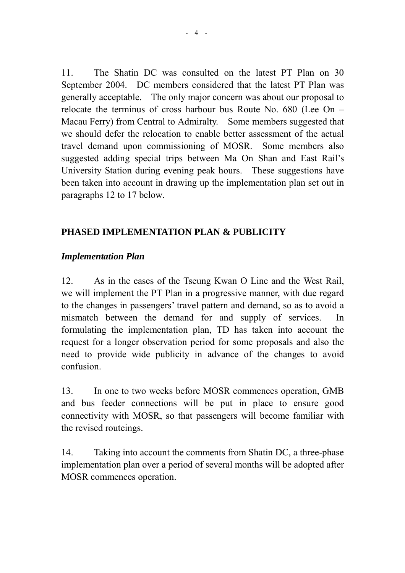11. The Shatin DC was consulted on the latest PT Plan on 30 September 2004. DC members considered that the latest PT Plan was generally acceptable. The only major concern was about our proposal to relocate the terminus of cross harbour bus Route No. 680 (Lee On – Macau Ferry) from Central to Admiralty. Some members suggested that we should defer the relocation to enable better assessment of the actual travel demand upon commissioning of MOSR. Some members also suggested adding special trips between Ma On Shan and East Rail's University Station during evening peak hours. These suggestions have been taken into account in drawing up the implementation plan set out in paragraphs 12 to 17 below.

# **PHASED IMPLEMENTATION PLAN & PUBLICITY**

### *Implementation Plan*

12. As in the cases of the Tseung Kwan O Line and the West Rail, we will implement the PT Plan in a progressive manner, with due regard to the changes in passengers' travel pattern and demand, so as to avoid a mismatch between the demand for and supply of services. In formulating the implementation plan, TD has taken into account the request for a longer observation period for some proposals and also the need to provide wide publicity in advance of the changes to avoid confusion.

13. In one to two weeks before MOSR commences operation, GMB and bus feeder connections will be put in place to ensure good connectivity with MOSR, so that passengers will become familiar with the revised routeings.

14. Taking into account the comments from Shatin DC, a three-phase implementation plan over a period of several months will be adopted after MOSR commences operation.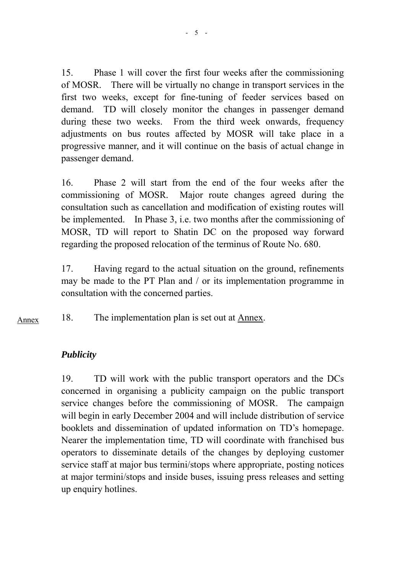15. Phase 1 will cover the first four weeks after the commissioning of MOSR. There will be virtually no change in transport services in the first two weeks, except for fine-tuning of feeder services based on demand. TD will closely monitor the changes in passenger demand during these two weeks. From the third week onwards, frequency adjustments on bus routes affected by MOSR will take place in a progressive manner, and it will continue on the basis of actual change in passenger demand.

16. Phase 2 will start from the end of the four weeks after the commissioning of MOSR. Major route changes agreed during the consultation such as cancellation and modification of existing routes will be implemented. In Phase 3, i.e. two months after the commissioning of MOSR, TD will report to Shatin DC on the proposed way forward regarding the proposed relocation of the terminus of Route No. 680.

17. Having regard to the actual situation on the ground, refinements may be made to the PT Plan and / or its implementation programme in consultation with the concerned parties.

18. The implementation plan is set out at Annex. Annex

### *Publicity*

19. TD will work with the public transport operators and the DCs concerned in organising a publicity campaign on the public transport service changes before the commissioning of MOSR. The campaign will begin in early December 2004 and will include distribution of service booklets and dissemination of updated information on TD's homepage. Nearer the implementation time, TD will coordinate with franchised bus operators to disseminate details of the changes by deploying customer service staff at major bus termini/stops where appropriate, posting notices at major termini/stops and inside buses, issuing press releases and setting up enquiry hotlines.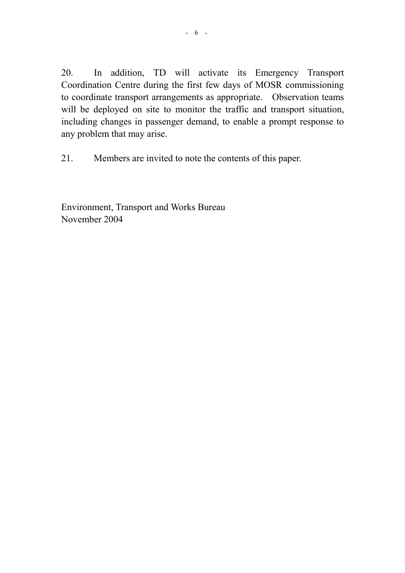20. In addition, TD will activate its Emergency Transport Coordination Centre during the first few days of MOSR commissioning to coordinate transport arrangements as appropriate. Observation teams will be deployed on site to monitor the traffic and transport situation, including changes in passenger demand, to enable a prompt response to any problem that may arise.

21. Members are invited to note the contents of this paper.

Environment, Transport and Works Bureau November 2004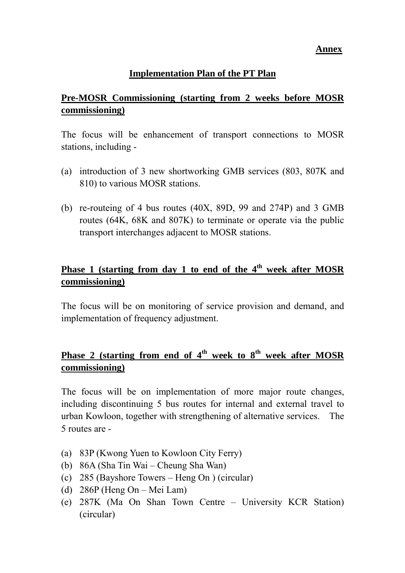*Annex* **Annex** 

#### **Implementation Plan of the PT Plan**

### **Pre-MOSR Commissioning (starting from 2 weeks before MOSR commissioning)**

The focus will be enhancement of transport connections to MOSR stations, including -

- (a) introduction of 3 new shortworking GMB services (803, 807K and 810) to various MOSR stations.
- (b) re-routeing of 4 bus routes (40X, 89D, 99 and 274P) and 3 GMB routes (64K, 68K and 807K) to terminate or operate via the public transport interchanges adjacent to MOSR stations.

### **Phase 1 (starting from day 1 to end of the 4th week after MOSR commissioning)**

The focus will be on monitoring of service provision and demand, and implementation of frequency adjustment.

# **Phase 2 (starting from end of 4<sup>th</sup> week to 8<sup>th</sup> week after MOSR commissioning)**

The focus will be on implementation of more major route changes, including discontinuing 5 bus routes for internal and external travel to urban Kowloon, together with strengthening of alternative services. The 5 routes are -

- (a) 83P (Kwong Yuen to Kowloon City Ferry)
- (b) 86A (Sha Tin Wai Cheung Sha Wan)
- (c) 285 (Bayshore Towers Heng On ) (circular)
- (d) 286P (Heng On Mei Lam)
- (e) 287K (Ma On Shan Town Centre University KCR Station) (circular)